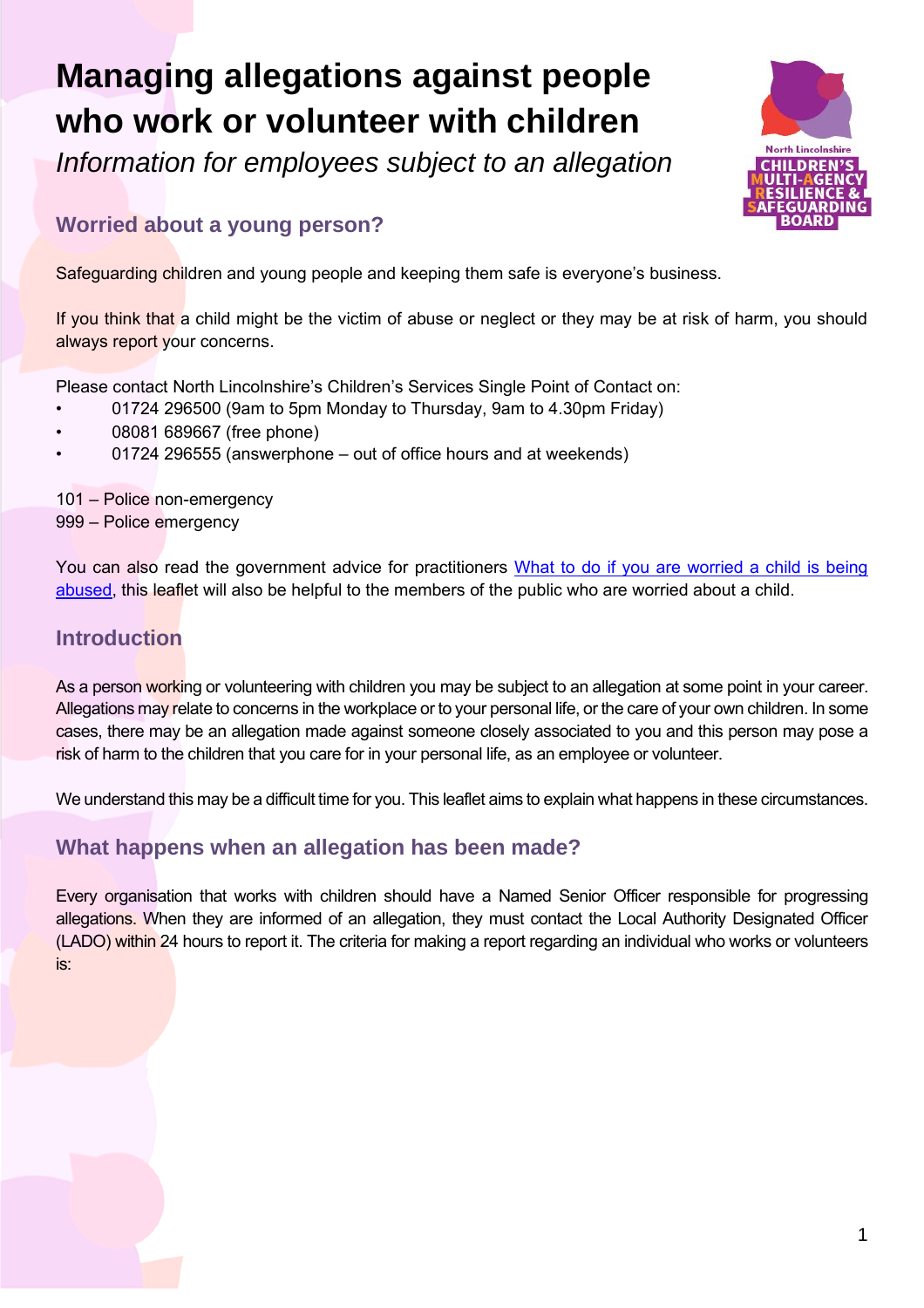# **Managing allegations against people who work or volunteer with children**

*Information for employees subject to an allegation*



# **Worried about a young person?**

Safeguarding children and young people and keeping them safe is everyone's business.

If you think that a child might be the victim of abuse or neglect or they may be at risk of harm, you should always report your concerns.

Please contact North Lincolnshire's Children's Services Single Point of Contact on:

- 01724 296500 (9am to 5pm Monday to Thursday, 9am to 4.30pm Friday)
- 08081 689667 (free phone)
- 01724 296555 (answerphone out of office hours and at weekends)

101 – Police non-emergency 999 – Police emergency

You can also read the government advice for practitioners What to do if you are worried a child is being [abused,](https://www.gov.uk/government/publications/what-to-do-if-youre-worried-a-child-is-being-abused--2) this leaflet will also be helpful to the members of the public who are worried about a child.

### **Introduction**

As a person working or volunteering with children you may be subject to an allegation at some point in your career. Allegations may relate to concerns in the workplace or to your personal life, or the care of your own children. In some cases, there may be an allegation made against someone closely associated to you and this person may pose a risk of harm to the children that you care for in your personal life, as an employee or volunteer.

We understand this may be a difficult time for you. This leaflet aims to explain what happens in these circumstances.

### **What happens when an allegation has been made?**

Every organisation that works with children should have a Named Senior Officer responsible for progressing allegations. When they are informed of an allegation, they must contact the Local Authority Designated Officer (LADO) within 24 hours to report it. The criteria for making a report regarding an individual who works or volunteers is: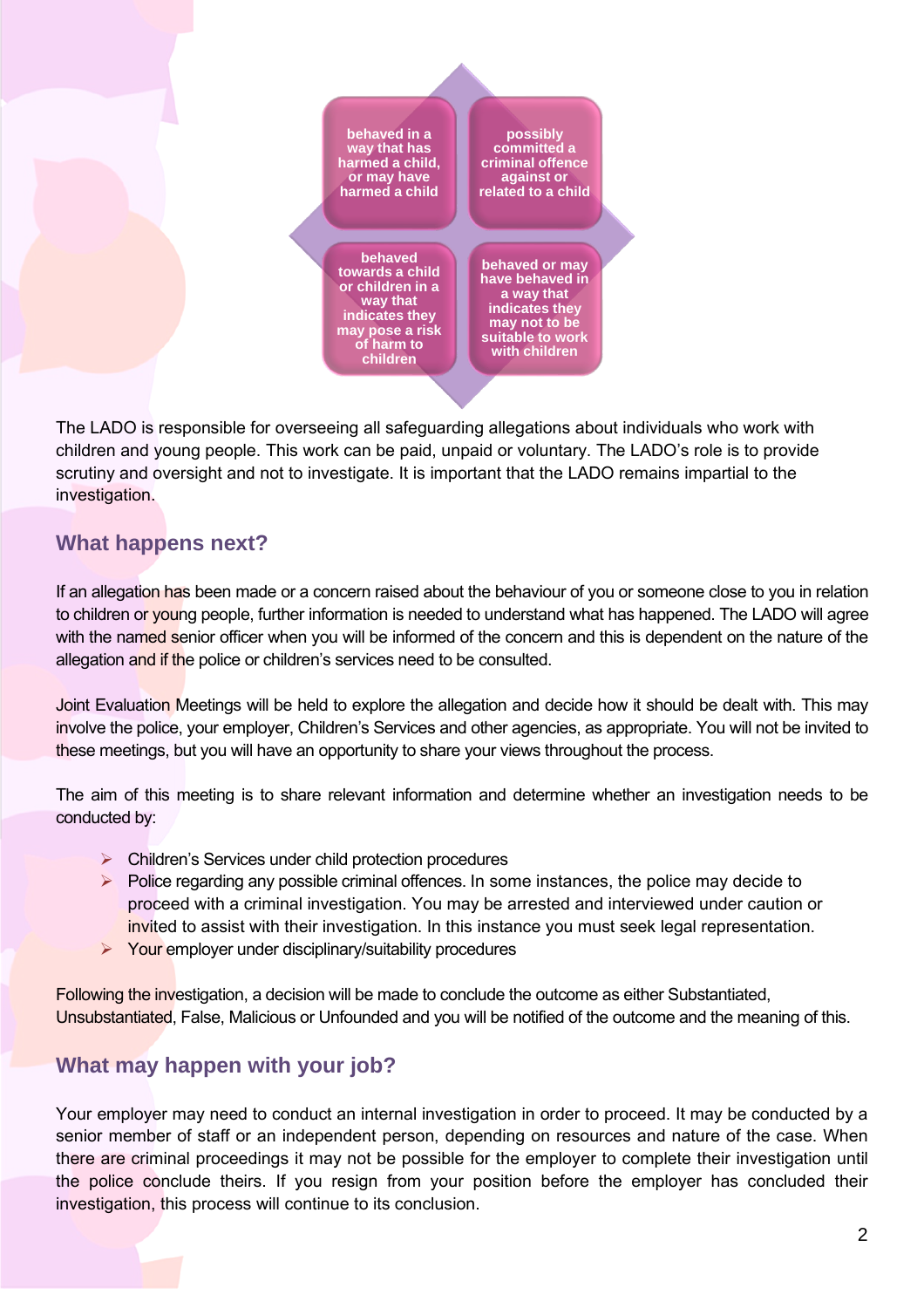

The LADO is responsible for overseeing all safeguarding allegations about individuals who work with children and young people. This work can be paid, unpaid or voluntary. The LADO's role is to provide scrutiny and oversight and not to investigate. It is important that the LADO remains impartial to the investigation.

## **What happens next?**

If an allegation has been made or a concern raised about the behaviour of you or someone close to you in relation to children or young people, further information is needed to understand what has happened. The LADO will agree with the named senior officer when you will be informed of the concern and this is dependent on the nature of the allegation and if the police or children's services need to be consulted.

Joint Evaluation Meetings will be held to explore the allegation and decide how it should be dealt with. This may involve the police, your employer, Children's Services and other agencies, as appropriate. You will not be invited to these meetings, but you will have an opportunity to share your views throughout the process.

The aim of this meeting is to share relevant information and determine whether an investigation needs to be conducted by:

- ➢ Children's Services under child protection procedures
- $\triangleright$  Police regarding any possible criminal offences. In some instances, the police may decide to proceed with a criminal investigation. You may be arrested and interviewed under caution or invited to assist with their investigation. In this instance you must seek legal representation.
- ➢ Your employer under disciplinary/suitability procedures

Following the investigation, a decision will be made to conclude the outcome as either Substantiated, Unsubstantiated, False, Malicious or Unfounded and you will be notified of the outcome and the meaning of this.

## **What may happen with your job?**

Your employer may need to conduct an internal investigation in order to proceed. It may be conducted by a senior member of staff or an independent person, depending on resources and nature of the case. When there are criminal proceedings it may not be possible for the employer to complete their investigation until the police conclude theirs. If you resign from your position before the employer has concluded their investigation, this process will continue to its conclusion.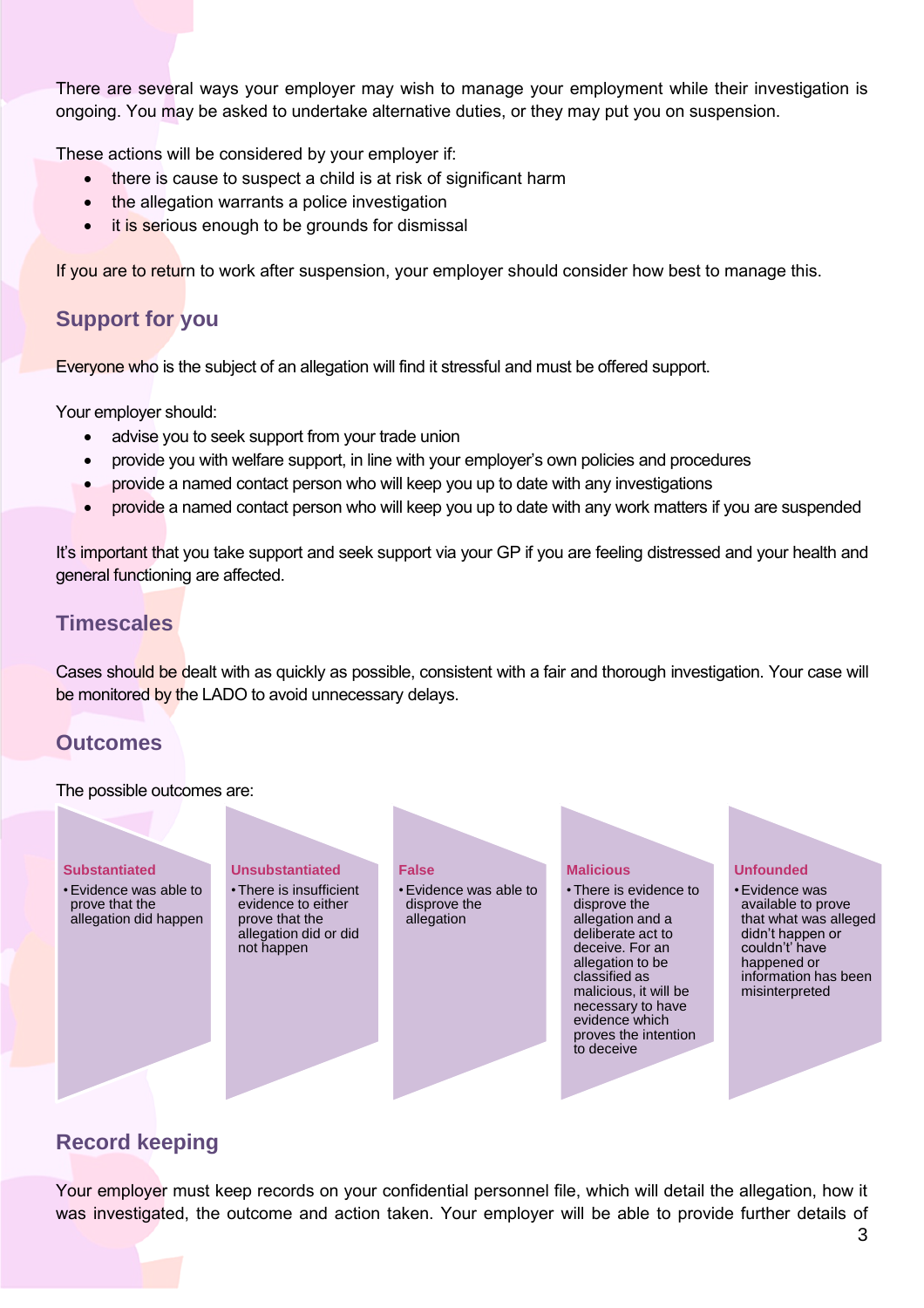There are several ways your employer may wish to manage your employment while their investigation is ongoing. You may be asked to undertake alternative duties, or they may put you on suspension.

These actions will be considered by your employer if:

- there is cause to suspect a child is at risk of significant harm
- the allegation warrants a police investigation
- it is serious enough to be grounds for dismissal

If you are to return to work after suspension, your employer should consider how best to manage this.

## **Support for you**

Everyone who is the subject of an allegation will find it stressful and must be offered support.

Your employer should:

- advise you to seek support from your trade union
- provide you with welfare support, in line with your employer's own policies and procedures
- provide a named contact person who will keep you up to date with any investigations
- provide a named contact person who will keep you up to date with any work matters if you are suspended

It's important that you take support and seek support via your GP if you are feeling distressed and your health and general functioning are affected.

#### **Timescales**

Cases should be dealt with as quickly as possible, consistent with a fair and thorough investigation. Your case will be monitored by the LADO to avoid unnecessary delays.

#### **Outcomes**

The possible outcomes are:



#### **Record keeping**

Your employer must keep records on your confidential personnel file, which will detail the allegation, how it was investigated, the outcome and action taken. Your employer will be able to provide further details of